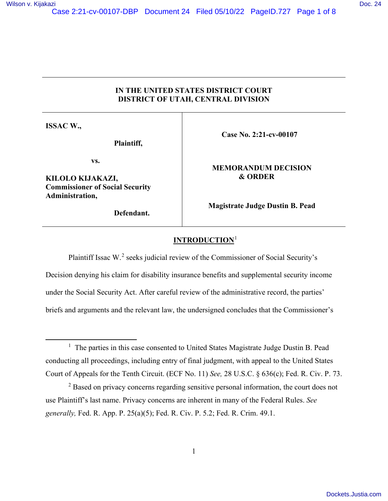# **IN THE UNITED STATES DISTRICT COURT DISTRICT OF UTAH, CENTRAL DIVISION**

**ISSAC W.,** 

**Plaintiff,**

**vs.** 

**KILOLO KIJAKAZI, Commissioner of Social Security Administration,** 

**Defendant.**

 **Case No. 2:21-cv-00107** 

 **MEMORANDUM DECISION & ORDER**

**Magistrate Judge Dustin B. Pead** 

## **INTRODUCTION**[1](#page-0-0)

Plaintiff Issac W.<sup>[2](#page-0-1)</sup> seeks judicial review of the Commissioner of Social Security's Decision denying his claim for disability insurance benefits and supplemental security income under the Social Security Act. After careful review of the administrative record, the parties' briefs and arguments and the relevant law, the undersigned concludes that the Commissioner's

<span id="page-0-0"></span><sup>&</sup>lt;sup>1</sup> The parties in this case consented to United States Magistrate Judge Dustin B. Pead conducting all proceedings, including entry of final judgment, with appeal to the United States Court of Appeals for the Tenth Circuit. (ECF No. 11) *See,* 28 U.S.C. § 636(c); Fed. R. Civ. P. 73.

<span id="page-0-1"></span> $2$  Based on privacy concerns regarding sensitive personal information, the court does not use Plaintiff's last name. Privacy concerns are inherent in many of the Federal Rules. *See generally,* Fed. R. App. P. 25(a)(5); Fed. R. Civ. P. 5.2; Fed. R. Crim. 49.1.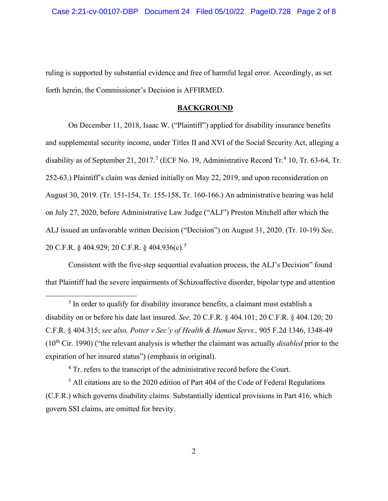ruling is supported by substantial evidence and free of harmful legal error. Accordingly, as set forth herein, the Commissioner's Decision is AFFIRMED.

### **BACKGROUND**

On December 11, 2018, Isaac W. ("Plaintiff") applied for disability insurance benefits and supplemental security income, under Titles II and XVI of the Social Security Act, alleging a disability as of September 21, 2017.<sup>[3](#page-1-0)</sup> (ECF No. 19, Administrative Record Tr.<sup>[4](#page-1-1)</sup> 10, Tr. 63-64, Tr. 252-63.) Plaintiff's claim was denied initially on May 22, 2019, and upon reconsideration on August 30, 2019. (Tr. 151-154, Tr. 155-158, Tr. 160-166.) An administrative hearing was held on July 27, 2020, before Administrative Law Judge ("ALJ") Preston Mitchell after which the ALJ issued an unfavorable written Decision ("Decision") on August 31, 2020. (Tr. 10-19) *See,*  20 C.F.R. § 404.929; 20 C.F.R. § 404.936(c).<sup>[5](#page-1-2)</sup>

Consistent with the five-step sequential evaluation process, the ALJ's Decision" found that Plaintiff had the severe impairments of Schizoaffective disorder, bipolar type and attention

<span id="page-1-0"></span><sup>3</sup> In order to qualify for disability insurance benefits, a claimant must establish a disability on or before his date last insured. *See,* 20 C.F.R. § 404.101; 20 C.F.R. § 404.120; 20 C.F.R. § 404.315; *see also, Potter v Sec'y of Health & Human Servs.,* 905 F.2d 1346, 1348-49 (10th Cir. 1990) ("the relevant analysis is whether the claimant was actually *disabled* prior to the expiration of her insured status") (emphasis in original).

<sup>4</sup> Tr. refers to the transcript of the administrative record before the Court.

<span id="page-1-2"></span><span id="page-1-1"></span> $<sup>5</sup>$  All citations are to the 2020 edition of Part 404 of the Code of Federal Regulations</sup> (C.F.R.) which governs disability claims. Substantially identical provisions in Part 416, which govern SSI claims, are omitted for brevity.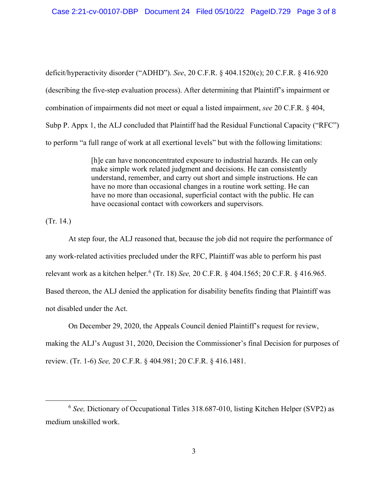deficit/hyperactivity disorder ("ADHD"). *See*, 20 C.F.R. § 404.1520(c); 20 C.F.R. § 416.920 (describing the five-step evaluation process). After determining that Plaintiff's impairment or combination of impairments did not meet or equal a listed impairment, *see* 20 C.F.R. § 404, Subp P. Appx 1, the ALJ concluded that Plaintiff had the Residual Functional Capacity ("RFC") to perform "a full range of work at all exertional levels" but with the following limitations:

> [h]e can have nonconcentrated exposure to industrial hazards. He can only make simple work related judgment and decisions. He can consistently understand, remember, and carry out short and simple instructions. He can have no more than occasional changes in a routine work setting. He can have no more than occasional, superficial contact with the public. He can have occasional contact with coworkers and supervisors.

(Tr. 14.)

At step four, the ALJ reasoned that, because the job did not require the performance of any work-related activities precluded under the RFC, Plaintiff was able to perform his past relevant work as a kitchen helper.[6](#page-2-0) (Tr. 18) *See,* 20 C.F.R. § 404.1565; 20 C.F.R. § 416.965. Based thereon, the ALJ denied the application for disability benefits finding that Plaintiff was not disabled under the Act.

On December 29, 2020, the Appeals Council denied Plaintiff's request for review, making the ALJ's August 31, 2020, Decision the Commissioner's final Decision for purposes of review. (Tr. 1-6) *See,* 20 C.F.R. § 404.981; 20 C.F.R. § 416.1481.

<span id="page-2-0"></span><sup>&</sup>lt;sup>6</sup> See, Dictionary of Occupational Titles 318.687-010, listing Kitchen Helper (SVP2) as medium unskilled work.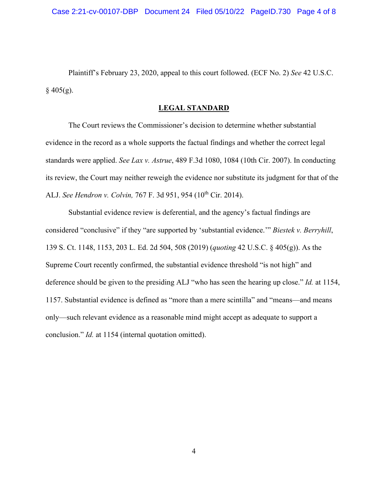Plaintiff's February 23, 2020, appeal to this court followed. (ECF No. 2) *See* 42 U.S.C.  $§$  405(g).

### **LEGAL STANDARD**

The Court reviews the Commissioner's decision to determine whether substantial evidence in the record as a whole supports the factual findings and whether the correct legal standards were applied. *See Lax v. Astrue*, 489 F.3d 1080, 1084 (10th Cir. 2007). In conducting its review, the Court may neither reweigh the evidence nor substitute its judgment for that of the ALJ. *See Hendron v. Colvin, 767 F. 3d 951, 954* (10<sup>th</sup> Cir. 2014).

Substantial evidence review is deferential, and the agency's factual findings are considered "conclusive" if they "are supported by 'substantial evidence.'" *Biestek v. Berryhill*, 139 S. Ct. 1148, 1153, 203 L. Ed. 2d 504, 508 (2019) (*quoting* 42 U.S.C. § 405(g)). As the Supreme Court recently confirmed, the substantial evidence threshold "is not high" and deference should be given to the presiding ALJ "who has seen the hearing up close." *Id.* at 1154, 1157. Substantial evidence is defined as "more than a mere scintilla" and "means—and means only—such relevant evidence as a reasonable mind might accept as adequate to support a conclusion." *Id.* at 1154 (internal quotation omitted).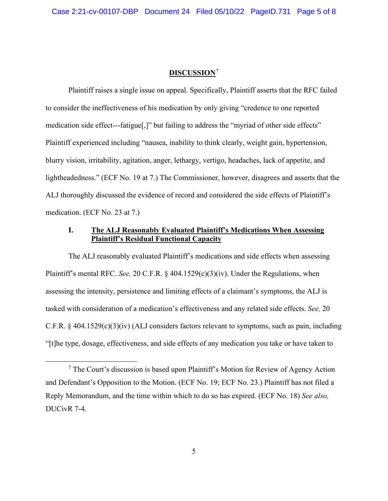### **DISCUSSION**[7](#page-4-0)

Plaintiff raises a single issue on appeal. Specifically, Plaintiff asserts that the RFC failed to consider the ineffectiveness of his medication by only giving "credence to one reported medication side effect---fatigue[,]" but failing to address the "myriad of other side effects" Plaintiff experienced including "nausea, inability to think clearly, weight gain, hypertension, blurry vision, irritability, agitation, anger, lethargy, vertigo, headaches, lack of appetite, and lightheadedness." (ECF No. 19 at 7.) The Commissioner, however, disagrees and asserts that the ALJ thoroughly discussed the evidence of record and considered the side effects of Plaintiff's medication. (ECF No. 23 at 7.)

### **I. The ALJ Reasonably Evaluated Plaintiff's Medications When Assessing Plaintiff's Residual Functional Capacity**

The ALJ reasonably evaluated Plaintiff's medications and side effects when assessing Plaintiff's mental RFC. *See,* 20 C.F.R. § 404.1529(c)(3)(iv). Under the Regulations, when assessing the intensity, persistence and limiting effects of a claimant's symptoms, the ALJ is tasked with consideration of a medication's effectiveness and any related side effects. *See,* 20 C.F.R. § 404.1529(c)(3)(iv) (ALJ considers factors relevant to symptoms, such as pain, including "[t]he type, dosage, effectiveness, and side effects of any medication you take or have taken to

<span id="page-4-0"></span><sup>&</sup>lt;sup>7</sup> The Court's discussion is based upon Plaintiff's Motion for Review of Agency Action and Defendant's Opposition to the Motion. (ECF No. 19; ECF No. 23.) Plaintiff has not filed a Reply Memorandum, and the time within which to do so has expired. (ECF No. 18) *See also,*  DUCivR 7-4.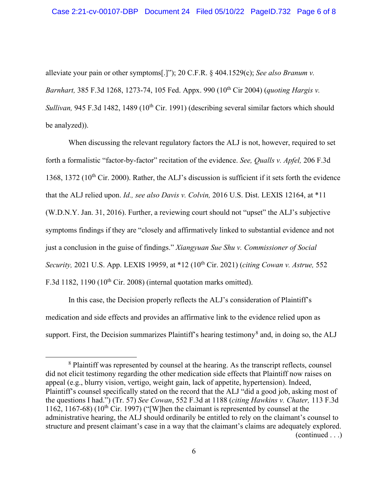alleviate your pain or other symptoms[.]"); 20 C.F.R. § 404.1529(c); *See also Branum v. Barnhart, 385 F.3d 1268, 1273-74, 105 Fed. Appx. 990 (10<sup>th</sup> Cir 2004) (<i>quoting Hargis v. Sullivan*, 945 F.3d 1482, 1489 (10<sup>th</sup> Cir. 1991) (describing several similar factors which should be analyzed)).

When discussing the relevant regulatory factors the ALJ is not, however, required to set forth a formalistic "factor-by-factor" recitation of the evidence. *See, Qualls v. Apfel,* 206 F.3d 1368, 1372 (10<sup>th</sup> Cir. 2000). Rather, the ALJ's discussion is sufficient if it sets forth the evidence that the ALJ relied upon. *Id., see also Davis v. Colvin,* 2016 U.S. Dist. LEXIS 12164, at \*11 (W.D.N.Y. Jan. 31, 2016). Further, a reviewing court should not "upset" the ALJ's subjective symptoms findings if they are "closely and affirmatively linked to substantial evidence and not just a conclusion in the guise of findings." *Xiangyuan Sue Shu v. Commissioner of Social Security,* 2021 U.S. App. LEXIS 19959, at \*12 (10th Cir. 2021) (*citing Cowan v. Astrue,* 552 F.3d 1182, 1190 ( $10^{th}$  Cir. 2008) (internal quotation marks omitted).

In this case, the Decision properly reflects the ALJ's consideration of Plaintiff's medication and side effects and provides an affirmative link to the evidence relied upon as support. First, the Decision summarizes Plaintiff's hearing testimony<sup>[8](#page-5-0)</sup> and, in doing so, the ALJ

<span id="page-5-0"></span><sup>&</sup>lt;sup>8</sup> Plaintiff was represented by counsel at the hearing. As the transcript reflects, counsel did not elicit testimony regarding the other medication side effects that Plaintiff now raises on appeal (e.g., blurry vision, vertigo, weight gain, lack of appetite, hypertension). Indeed, Plaintiff's counsel specifically stated on the record that the ALJ "did a good job, asking most of the questions I had.") (Tr. 57) *See Cowan*, 552 F.3d at 1188 (*citing Hawkins v. Chater,* 113 F.3d 1162, 1167-68) (10<sup>th</sup> Cir. 1997) ("[W]hen the claimant is represented by counsel at the administrative hearing, the ALJ should ordinarily be entitled to rely on the claimant's counsel to structure and present claimant's case in a way that the claimant's claims are adequately explored. (continued . . .)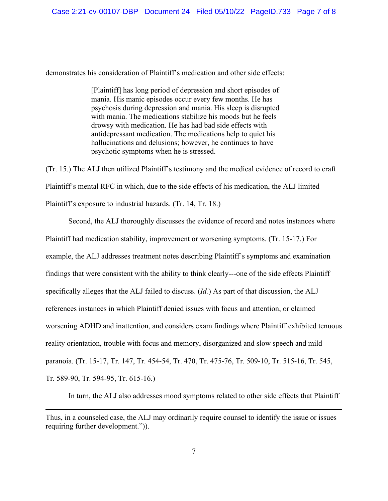demonstrates his consideration of Plaintiff's medication and other side effects:

[Plaintiff] has long period of depression and short episodes of mania. His manic episodes occur every few months. He has psychosis during depression and mania. His sleep is disrupted with mania. The medications stabilize his moods but he feels drowsy with medication. He has had bad side effects with antidepressant medication. The medications help to quiet his hallucinations and delusions; however, he continues to have psychotic symptoms when he is stressed.

(Tr. 15.) The ALJ then utilized Plaintiff's testimony and the medical evidence of record to craft Plaintiff's mental RFC in which, due to the side effects of his medication, the ALJ limited Plaintiff's exposure to industrial hazards. (Tr. 14, Tr. 18.)

Second, the ALJ thoroughly discusses the evidence of record and notes instances where Plaintiff had medication stability, improvement or worsening symptoms. (Tr. 15-17.) For example, the ALJ addresses treatment notes describing Plaintiff's symptoms and examination findings that were consistent with the ability to think clearly---one of the side effects Plaintiff specifically alleges that the ALJ failed to discuss. (*Id.*) As part of that discussion, the ALJ references instances in which Plaintiff denied issues with focus and attention, or claimed worsening ADHD and inattention, and considers exam findings where Plaintiff exhibited tenuous reality orientation, trouble with focus and memory, disorganized and slow speech and mild paranoia. (Tr. 15-17, Tr. 147, Tr. 454-54, Tr. 470, Tr. 475-76, Tr. 509-10, Tr. 515-16, Tr. 545, Tr. 589-90, Tr. 594-95, Tr. 615-16.)

In turn, the ALJ also addresses mood symptoms related to other side effects that Plaintiff

Thus, in a counseled case, the ALJ may ordinarily require counsel to identify the issue or issues requiring further development.")).